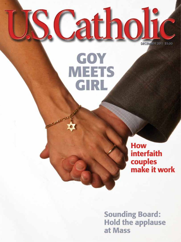**DECEMBER 2011 \$5.00** 

atho

GOY

**MEETS** 

GIRL

**How interfaith** couples<br>make it work

**Sounding Board: Hold the applause** at Mass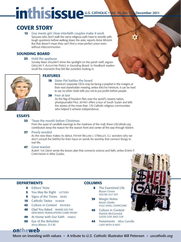# inthisissue U.S. CATHOLIC Wol. 76, No. 12 December 2011

# COVER STORY

#### **12** Goy meets girl: How interfaith couples make it work

Spouses who don't walk the same religious path have to wrestle with tough questions before walking down the aisle, reports ANNA WEAVER. But that doesn't mean they can't find a more perfect union even without intercommunion.

#### SOUNDING BOARD

#### **23** Hold the applause

Sunday Mass shouldn't shine the spotlight on the parish staff, argues GREGORY F. AUGUSTINE PIERCE in *Sounding Board.* In *Feedback* readers recall the moments they felt like outsiders looking in.



#### FEATURES

#### **18** Sister Pat battles the board

 America's corporate CEOs may be facing a prophet in the margins at their next shareholder meeting, writes KRISTEN HANNUM. It can be hard to say no when Sister tells you not to put profits before people.

#### **28** Free at last

 As the flag of freedom flies over the world's newest nation, photojournalist PAUL JEFFREY offers a tour of South Sudan and tells the stories of the more than 170 Catholic religious communities who helped it achieve independence.

#### ESSAYS

#### **33** 'Twas the month before Christmas

From the quiet of candlelit evenings to the madness of the mall, these *USCatholic.org*  contributors keep the reason for the season front and center all the way through Advent.

#### **37** Poorly worded

As the new Mass makes its debut, FATHER WILLIAM J. O'MALLEY, S.J. wonders why we don't consult the faithful for their input on words for worship that connect liturgy to real life.

#### **47** Great teacher

ALBERT THE GREAT wrote the lesson plan that connects science and faith, writes EDWIN P. CHRISTMANN in *Wise Guides.*



- **4** Editors' Note
- **5** You May Be Right LETTERS
- **9** Signs of the Times NEWS
- **10** Catholic Tastes HUMOR
- **42** Culture in Context REVIEWS
- **46** Glad You Asked WHERE DID THE NEW MASS TRANSLATIONS COME FROM?
- **49** At Home with Our Faith FAMILY
- **50** Eye of the Beholder *Jerry Bleem, O.F.M.*

#### **COLUMNS**

- **8** The Examined Life *Bryan Cones* YOU'RE CUT OFF
- **39** Margin Notes *Kevin Clarke* YULE SHALL OVERCOME
- **40** Culture in Context *Patrick McCormick* GOOD COP, BAD COP
- **44** Testaments *Alice Camille* LADY WITH A PAST



## ontheweb

More on investing with values • A tribute to *U.S. Catholic* illustrator Bill Petersen • *uscatholic.org*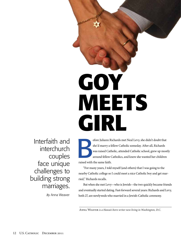# **GOY MEETS GIRL**

Interfaith and interchurch couples face unique challenges to building strong marriages.

By Anna Weaver

**B** efore Juliann Richards met Neal Levy, she didn't doubt that she'd marry a fellow Catholic someday. After all, Richards was raised Catholic, attended Catholic school, grew up mostly around fellow Catholics, and knew she wanted her children raised with the same faith.

"For many years, I told myself (and others) that I was going to the nearby Catholic college so I could meet a nice Catholic boy and get married," Richards recalls.

But when she met Levy—who is Jewish—the two quickly became friends and eventually started dating. Fast-forward several years: Richards and Levy, both 27, are newlyweds who married in a Jewish-Catholic ceremony.

Anna Weaver is a Hawaii-born writer now living in Washington, D.C.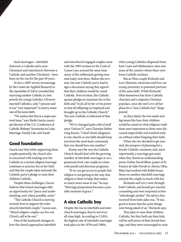Such marriages—interfaith (between a Catholic and a non-Christian) and interchurch (between a Catholic and another Christian)—have been on the rise for the past 30 years.

In fact, a 2007 survey on marriage by the Center for Applied Research in the Apostolate (CARA) revealed that marrying another Catholic is a low priority for young Catholics. Of nevermarried Catholics, only 7 percent said it was "very important" to marry someone of the same faith.

"We realize that this is a major pastoral issue," says Sheila Garcia, associate director of the U.S. Conference of Catholic Bishops' Secretariat on Laity, Marriage, Family Life, and Youth.

#### Good foundation

Garcia says that while supporting these couples pastorally, the church also is concerned with making sure the Catholic in a mixed-religion marriage continues to practice his or her faith and that the couple takes seriously the Catholic party's pledge to raise their children Catholic.

Despite these challenges, Garcia believes that mixed marriages offer an opportunity for "peace and understanding, and, where possible, unity."

"The Catholic Church is moving towards how to support the interchurch/interfaith couple," Garcia says. "Mixed religion couples can live out Christ's call to be one."

One of the landmark changes in how the church approaches interfaith and interchurch engaged couples came with the 1983 revision to the Code of Canon Law, around the same time many of the millennials getting married today were born. Before the revision, the non-Catholic party had to sign a document saying they agreed that their children would be raised Catholic. Post-revision, the Catholic spouse pledges to maintain his or her faith and "to do all in her or his power so that all offspring are baptized and brought up in the Catholic Church." The non-Catholic is informed of that pledge.

"We've changed quite a bit of stuff since Vatican II," says Claretian Father Greg Kenny. "I don't think allegiance to one church or one faith should keep you from the most basic command, that you should love one another."

Kenny says the way the Catholic Church should deal with the growing number of interfaith marriages is on a grassroots level, one couple at a time, with parish and diocesan programs.

"If we can get across to people that religion is not getting in the way, that religion is there to help, that makes so much more sense to me," he says. "Marriage preparation becomes a possible moment of grace."

#### A nice Catholic boy

Despite the rise in interfaith and interchurch marriages, they're not at an all-time high. According to CARA, the highest rate of interfaith marriages took place in the 1970s and 1980s,

when young Catholics dispersed from East Coast and Midwestern cities into areas of the country where there were fewer Catholic enclaves.

But as Ohio couple Richards and Levy illustrate, attraction and love can trump proximity to potential partners of the same faith. While Richards' Ohio hometown has three Catholic churches and a majority Christian populace, once she met Levy all her plans for a "nice Catholic boy" disappeared.

As they dated, the two made sure big issues like how their children would be raised or what religious traditions were important to them were discussed respectfully and resolved early on without either forgoing their faith.

When the two decided to get married, the prospect of planning for a Jewish-Catholic ceremony and, more importantly, a marriage got easier when they found an understanding priest, Father David Bline, pastor of St. Francis de Sales Parish in Akron, Ohio. Bline had worked with Rabbi Susan Stone on another interfaith marriage and put the couple in touch with her.

Richards and Levy went through both Catholic and Jewish pre-marital counseling and were surprised at how "refreshingly similar" the advice they received from both sides was. "It was good to know that the same things were being asked of us," Richards says.

They plan to raise their children Catholic, but they both say their kids will be well aware of their Jewish heritage, and they were encouraged to raise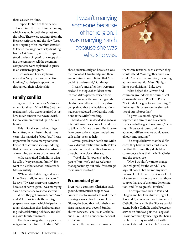them as such by Bline.

Respect for both of their beliefs extended into their wedding ceremony, which was led by both the priest and the rabbi. There were readings from the Hebrew scriptures and the New Testament, signing of an interfaith ketubah (a Jewish marriage contract), drinking from a kiddush cup, and the couple stood under a chuppah, or canopy during the ceremony. All the ceremony components were explained to guests in an extensive program.

Richards and Levy say being rasised in "very open and accepting families," has helped support them throughout their relationship.

#### Family conflict

Things went differently for Midwesterners Sarah and Mike Miles (not their real names), who were surprised at just how much tension their own Jewish-Catholic union churned up in Mike's family.

This is Sarah's second marriage. In her first, which lasted about three years, she married a fellow Jew. "It was important for me to marry someone Jewish at that time," she says, adding that her mother was also a big advocate of marrying someone of the same faith.

Mike was raised Catholic, in what he calls a "very religious family." He went to a Catholic school and attends Mass regularly.

"When I started dating and when I met Sarah, religion wasn't a factor," he says. "I wasn't marrying someone because of her religion. I was marrying Sarah because she was who she was."

When they got engaged, both Sarah and Mike took interfaith marriage preparation classes, which helped with tough discussions they had about raising kids, celebrating holidays, and dealing with family dynamics.

The classes suggested they pick one religion for their future children. "We

I wasn't marrying someone because of her religion. I was marrying Sarah because she was who she was.

chose Judaism early on because it was the root of all Christianity, and there was nothing in my religion that Mike couldn't understand," Sarah says.

It wasn't until after they were married and the topic of children came up that Mike's parents voiced their disagreement with how their grandchildren would be raised. They also complained that the Jewish traditions had overshadowed the Catholic traditions at the Miles' wedding.

Sarah and Mike decided to go to an interfaith marriage counselor and tried to talk with Mike's parents. But face-toface conversations, letters, and phone calls didn't seem to help.

Several years later, Sarah and Mike have a distant relationship with Mike's parents. But the difficulties have only brought them closer, they say.

 "We'd like [his parents] to be a part of [our lives], and we welcome that opportunity, but only if we can get these issues resolved."

#### Ecumenical glue

Even with a common Christian background, interchurch couples have issues to resolve in order to make their marriages work. For Lena and Luke Glover, the bond that holds their marriage together goes beyond Sunday church services. Lena, 35, is Catholic, and Luke, 34, is a nondenominational Christian.

When the two were first married



there were tensions, such as when they would attend Mass together and Luke couldn't receive communion, including at their own nuptial Mass. "It highlights our divisions," Luke says.

What helped the Glovers find common ground was the ecumenical charismatic group People of Praise. "It's kind of the glue for our marriage," Luke says. "It focuses on the similarities of our life together."

"It gives us something to do together as a family and as a couple that's kind of bigger than church," Lena says. "If we went round and round about our differences we would spend all our time arguing!"

The couple believes that the differences they have in faith aren't major but that the things they do hold in common, such as their belief in Christ and the gospel, are.

"Now I wouldn't want to change [our religions] for the world," Lena says. "It doesn't bother me anymore because I feel like we experience a level of ecumenism more acutely than those couples that are of the same denomination, and I'm so grateful for that."

The couple now lives in Portland, Oregon and has four children, ages 11, 9, 6, and 5, all of whom are being raised Catholic. For a while the Glovers would attend both a Catholic and a Protestant service on Sundays plus the People of Praise community meetings. But being in church all day was difficult with young kids. Luke decided he'd choose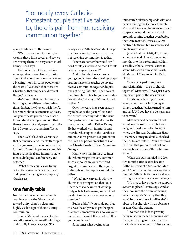"For nearly every Catholic-Protestant couple that I've talked to, there is pain from not receiving communion together."

going to Mass with the family.

"We do raise them Catholic, but we give that a little caveat and say we are raising them in a very ecumenical home," Lena says.

Their older two kids are asking more questions now, like why Luke doesn't take communion—he receives a blessing—or why some people pray the rosary. "We teach that there are Christians that emphasize different things," Lena says.

She's proud that her children are learning about different denominations. In fact, the Glovers wish they'd hear more about ecumenism at Mass. "As you educate yourself as a Catholic and dig deeper, you find out that there's been a lot said, especially in the last 30 years, on ecumenism," Lena says.

The USCCB's Sheila Garcia says that ecumenical and interfaith couples are the grassroots version of what the Catholic Church hopes to accomplish in its ecumenical and interfaith statements, dialogues, conferences, and outreach.

"What these couples are living out in their own lives is what these dialogues are trying to accomplish," Garcia says.

#### One family table

No matter how much interchurch couples such as the Glovers work toward unity, there's a clear and highly visible sign of their disunity communion.

Bonnie Mack, who works for the Archdiocese of Cincinnati's Marriage and Family Life Office, says, "For

nearly every Catholic-Protestant couple that I've talked to, there is pain from not receiving communion together.

"There are some who would say, 'I don't think Jesus would do that. I think he'd call anyone forward.'"

And in fact she has seen some young couples from the marriage preparation classes she teaches go up and receive communion together despite one not being Catholic. "Their way of handling church teachings is much different today," she says. "It's no big deal to them."

Over the years she's seen pastors try to balance the pastoral side and the church-teaching side of the issue. One pastor who has long dealt with the issue is Claretian Father Kenny. He has worked with interfaith and interchurch couples in the Northeast and now at his present assignment in the South as pastor emeritus of Corpus Christi Parish in Stone Mountain, Georgia.

Kenny says that in his area interchurch marriages are very common since Catholics are only the third largest denomination in the region, outnumbered by Baptists and Methodists.

"What I now explain is why the church is so stringent on that issue. There needs to be unity of worship, unity of belief, of dogma, and unity of conduct and morality to receive communion."

But he adds, "If you could say that this was the only way to get the spiritual nourishment you seek, follow your conscience. I can't tell you not to follow your conscience."

Sometimes what begins as an

interchurch relationship ends with one person joining the Catholic Church. Matt and Jessica Williams are one such couple who found their faith backgrounds coming together even before they were married. Jessica, 32, was baptized Lutheran but was not raised practicing that faith.

Jessica first met Matt, 43, through a mutual friend. About three or four months into their relationship, Matt, a cradle Catholic, invited Jessica to attend Mass with him at his parish, St. Margaret Mary in Winter Park, Florida.

"It really helped strengthen our relationship...to go to church together," Matt says. "It was just a very important part of the week for us."

He also recalls being surprised when, a few months into going to church together, Jessica turned to him and said, "All you have to do is ask me to convert."

Matt says he'd been careful not to put any pressure on her, but was delighted. Jessica enrolled in RCIA, where the director, Dominican Sister Rosemary Finnegan, double-checked that, as Jessica puts it, "Your heart was in it, and that you were not just converting because it was 'the right thing to do.'"

When the pair married in 2010, two months after Jessica became Catholic, it was at a Mass at St. Margaret Mary. The Williamses say that a mutual Catholic faith has served as a strong base when they face challenges.

"It's nice to have that extra support system in place," Jessica says. And as they look into the future at having kids, she says she's happy that they won't be one of those families she'd observed at church with an absentee or non-Catholic parent.

"I wanted our kids to grow up being raised in the faith, praying with them, and trying to educate them on the faith wherever we can," Jessica says.